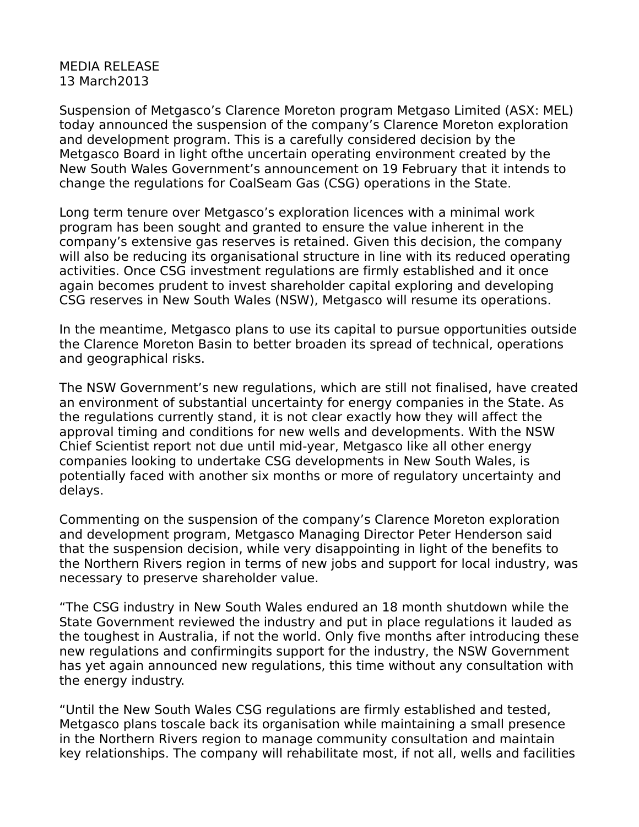## MEDIA RELEASE 13 March2013

Suspension of Metgasco's Clarence Moreton program Metgaso Limited (ASX: MEL) today announced the suspension of the company's Clarence Moreton exploration and development program. This is a carefully considered decision by the Metgasco Board in light ofthe uncertain operating environment created by the New South Wales Government's announcement on 19 February that it intends to change the regulations for CoalSeam Gas (CSG) operations in the State.

Long term tenure over Metgasco's exploration licences with a minimal work program has been sought and granted to ensure the value inherent in the company's extensive gas reserves is retained. Given this decision, the company will also be reducing its organisational structure in line with its reduced operating activities. Once CSG investment regulations are firmly established and it once again becomes prudent to invest shareholder capital exploring and developing CSG reserves in New South Wales (NSW), Metgasco will resume its operations.

In the meantime, Metgasco plans to use its capital to pursue opportunities outside the Clarence Moreton Basin to better broaden its spread of technical, operations and geographical risks.

The NSW Government's new regulations, which are still not finalised, have created an environment of substantial uncertainty for energy companies in the State. As the regulations currently stand, it is not clear exactly how they will affect the approval timing and conditions for new wells and developments. With the NSW Chief Scientist report not due until mid-year, Metgasco like all other energy companies looking to undertake CSG developments in New South Wales, is potentially faced with another six months or more of regulatory uncertainty and delays.

Commenting on the suspension of the company's Clarence Moreton exploration and development program, Metgasco Managing Director Peter Henderson said that the suspension decision, while very disappointing in light of the benefits to the Northern Rivers region in terms of new jobs and support for local industry, was necessary to preserve shareholder value.

"The CSG industry in New South Wales endured an 18 month shutdown while the State Government reviewed the industry and put in place regulations it lauded as the toughest in Australia, if not the world. Only five months after introducing these new regulations and confirmingits support for the industry, the NSW Government has yet again announced new regulations, this time without any consultation with the energy industry.

"Until the New South Wales CSG regulations are firmly established and tested, Metgasco plans toscale back its organisation while maintaining a small presence in the Northern Rivers region to manage community consultation and maintain key relationships. The company will rehabilitate most, if not all, wells and facilities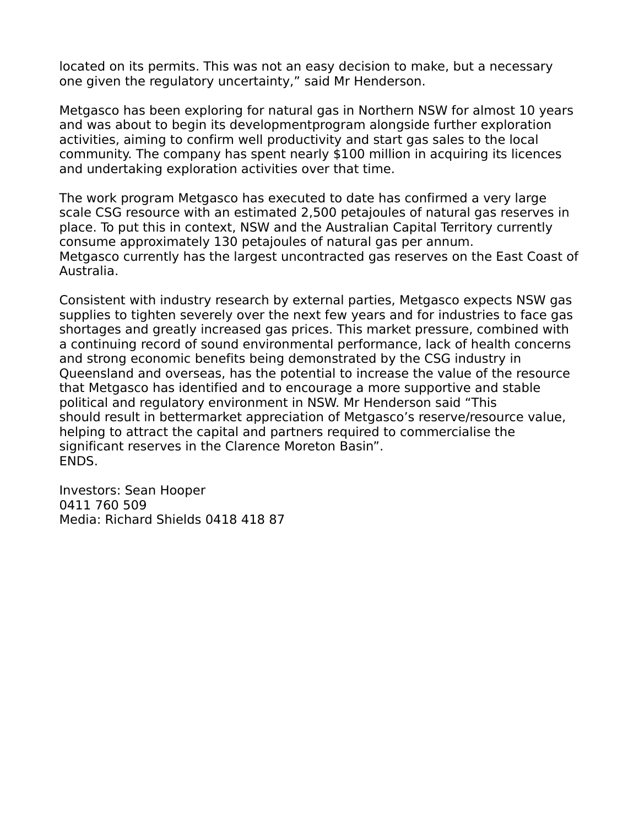located on its permits. This was not an easy decision to make, but a necessary one given the regulatory uncertainty," said Mr Henderson.

Metgasco has been exploring for natural gas in Northern NSW for almost 10 years and was about to begin its developmentprogram alongside further exploration activities, aiming to confirm well productivity and start gas sales to the local community. The company has spent nearly \$100 million in acquiring its licences and undertaking exploration activities over that time.

The work program Metgasco has executed to date has confirmed a very large scale CSG resource with an estimated 2,500 petajoules of natural gas reserves in place. To put this in context, NSW and the Australian Capital Territory currently consume approximately 130 petajoules of natural gas per annum. Metgasco currently has the largest uncontracted gas reserves on the East Coast of Australia.

Consistent with industry research by external parties, Metgasco expects NSW gas supplies to tighten severely over the next few years and for industries to face gas shortages and greatly increased gas prices. This market pressure, combined with a continuing record of sound environmental performance, lack of health concerns and strong economic benefits being demonstrated by the CSG industry in Queensland and overseas, has the potential to increase the value of the resource that Metgasco has identified and to encourage a more supportive and stable political and regulatory environment in NSW. Mr Henderson said "This should result in bettermarket appreciation of Metgasco's reserve/resource value, helping to attract the capital and partners required to commercialise the significant reserves in the Clarence Moreton Basin". ENDS.

Investors: Sean Hooper 0411 760 509 Media: Richard Shields 0418 418 87